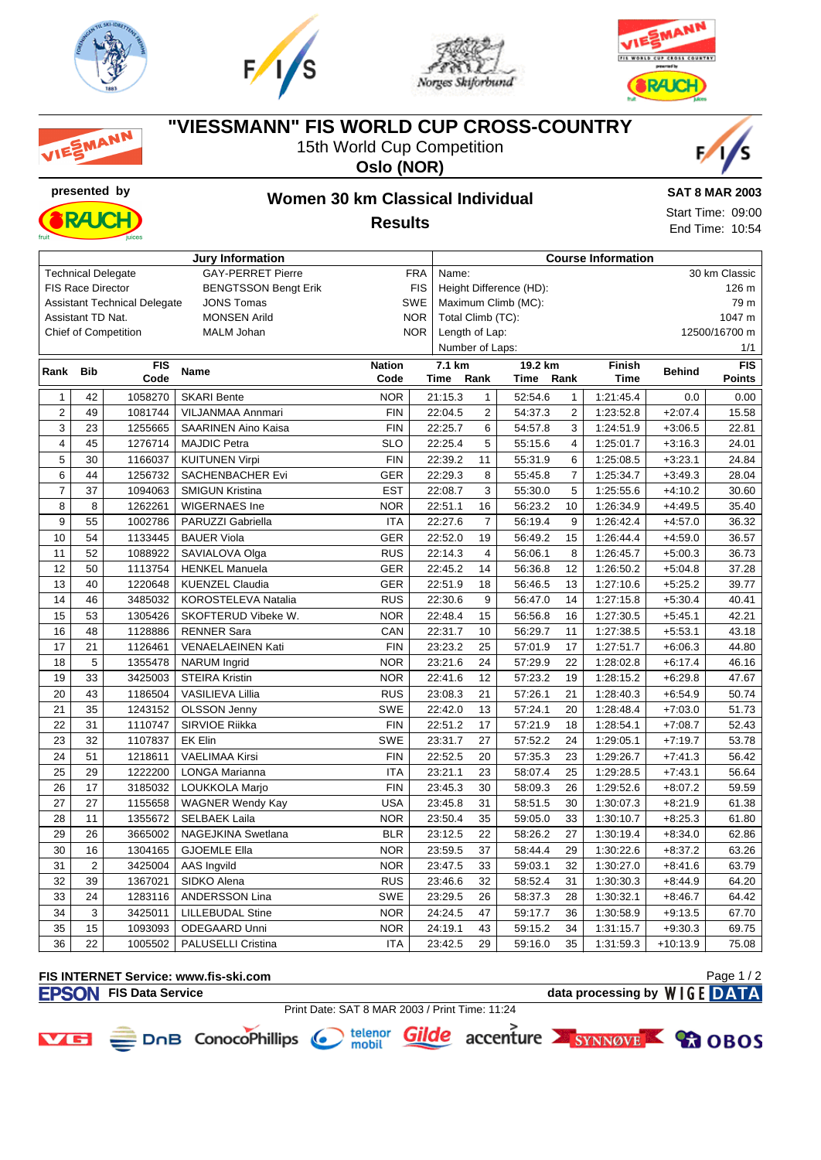

MANN







## **"VIESSMANN" FIS WORLD CUP CROSS-COUNTRY**

15th World Cup Competition

**Oslo (NOR)**



# **presented by Women 30 km Classical Individual Results**



**SAT 8 MAR 2003** Start Time: 09:00 End Time: 10:54

|                |                          |                                     | <b>Jury Information</b>     |                 | <b>Course Information</b> |                                  |                |         |                |               |               |               |  |
|----------------|--------------------------|-------------------------------------|-----------------------------|-----------------|---------------------------|----------------------------------|----------------|---------|----------------|---------------|---------------|---------------|--|
|                |                          | <b>Technical Delegate</b>           | <b>GAY-PERRET Pierre</b>    | <b>FRA</b>      | 30 km Classic<br>Name:    |                                  |                |         |                |               |               |               |  |
|                | <b>FIS Race Director</b> |                                     | <b>BENGTSSON Bengt Erik</b> |                 | <b>FIS</b>                | Height Difference (HD):<br>126 m |                |         |                |               |               |               |  |
|                |                          | <b>Assistant Technical Delegate</b> | <b>JONS Tomas</b>           |                 | <b>SWE</b>                | Maximum Climb (MC):<br>79 m      |                |         |                |               |               |               |  |
|                | Assistant TD Nat.        |                                     | <b>MONSEN Arild</b>         |                 | <b>NOR</b>                | Total Climb (TC):<br>1047 m      |                |         |                |               |               |               |  |
|                |                          | <b>Chief of Competition</b>         | <b>MALM Johan</b>           |                 | <b>NOR</b>                | Length of Lap:<br>12500/16700 m  |                |         |                |               |               |               |  |
|                |                          |                                     |                             | Number of Laps: |                           |                                  |                |         |                | 1/1           |               |               |  |
| Rank           | <b>Bib</b>               | <b>FIS</b>                          | <b>Name</b>                 | <b>Nation</b>   |                           | 7.1 km                           |                | 19.2 km |                | <b>Finish</b> | <b>Behind</b> | <b>FIS</b>    |  |
|                |                          | Code                                |                             | Code            |                           | Time                             | Rank           | Time    | Rank           | <b>Time</b>   |               | <b>Points</b> |  |
| $\mathbf{1}$   | 42                       | 1058270                             | <b>SKARI Bente</b>          | <b>NOR</b>      |                           | 21:15.3                          | $\mathbf{1}$   | 52:54.6 | $\mathbf{1}$   | 1:21:45.4     | 0.0           | 0.00          |  |
| $\overline{2}$ | 49                       | 1081744                             | VILJANMAA Annmari           | <b>FIN</b>      |                           | 22:04.5                          | $\overline{2}$ | 54:37.3 | 2              | 1:23:52.8     | $+2:07.4$     | 15.58         |  |
| 3              | 23                       | 1255665                             | <b>SAARINEN Aino Kaisa</b>  | <b>FIN</b>      |                           | 22:25.7                          | 6              | 54:57.8 | 3              | 1:24:51.9     | $+3:06.5$     | 22.81         |  |
| 4              | 45                       | 1276714                             | <b>MAJDIC Petra</b>         | <b>SLO</b>      |                           | 22:25.4                          | 5              | 55:15.6 | $\overline{4}$ | 1:25:01.7     | $+3:16.3$     | 24.01         |  |
| 5              | 30                       | 1166037                             | <b>KUITUNEN Virpi</b>       | <b>FIN</b>      |                           | 22:39.2                          | 11             | 55:31.9 | 6              | 1:25:08.5     | $+3:23.1$     | 24.84         |  |
| 6              | 44                       | 1256732                             | SACHENBACHER Evi            | <b>GER</b>      |                           | 22:29.3                          | 8              | 55:45.8 | $\overline{7}$ | 1:25:34.7     | $+3:49.3$     | 28.04         |  |
| $\overline{7}$ | 37                       | 1094063                             | <b>SMIGUN Kristina</b>      | <b>EST</b>      |                           | 22:08.7                          | 3              | 55:30.0 | 5              | 1:25:55.6     | $+4:10.2$     | 30.60         |  |
| 8              | 8                        | 1262261                             | WIGERNAES Ine               | <b>NOR</b>      |                           | 22:51.1                          | 16             | 56:23.2 | 10             | 1:26:34.9     | $+4:49.5$     | 35.40         |  |
| 9              | 55                       | 1002786                             | PARUZZI Gabriella           | <b>ITA</b>      |                           | 22:27.6                          | $\overline{7}$ | 56:19.4 | 9              | 1:26:42.4     | $+4:57.0$     | 36.32         |  |
| 10             | 54                       | 1133445                             | <b>BAUER Viola</b>          | GER             |                           | 22:52.0                          | 19             | 56:49.2 | 15             | 1:26:44.4     | $+4:59.0$     | 36.57         |  |
| 11             | 52                       | 1088922                             | SAVIALOVA Olga              | <b>RUS</b>      |                           | 22:14.3                          | $\overline{4}$ | 56:06.1 | 8              | 1:26:45.7     | $+5:00.3$     | 36.73         |  |
| 12             | 50                       | 1113754                             | <b>HENKEL Manuela</b>       | <b>GER</b>      |                           | 22:45.2                          | 14             | 56:36.8 | 12             | 1:26:50.2     | $+5:04.8$     | 37.28         |  |
| 13             | 40                       | 1220648                             | <b>KUENZEL Claudia</b>      | <b>GER</b>      |                           | 22:51.9                          | 18             | 56:46.5 | 13             | 1:27:10.6     | $+5:25.2$     | 39.77         |  |
| 14             | 46                       | 3485032                             | KOROSTELEVA Natalia         | <b>RUS</b>      |                           | 22:30.6                          | 9              | 56:47.0 | 14             | 1:27:15.8     | $+5:30.4$     | 40.41         |  |
| 15             | 53                       | 1305426                             | SKOFTERUD Vibeke W.         | <b>NOR</b>      |                           | 22:48.4                          | 15             | 56:56.8 | 16             | 1:27:30.5     | $+5:45.1$     | 42.21         |  |
| 16             | 48                       | 1128886                             | <b>RENNER Sara</b>          | CAN             |                           | 22:31.7                          | 10             | 56:29.7 | 11             | 1:27:38.5     | $+5:53.1$     | 43.18         |  |
| 17             | 21                       | 1126461                             | <b>VENAELAEINEN Kati</b>    | <b>FIN</b>      |                           | 23:23.2                          | 25             | 57:01.9 | 17             | 1:27:51.7     | $+6:06.3$     | 44.80         |  |
| 18             | 5                        | 1355478                             | <b>NARUM</b> Ingrid         | <b>NOR</b>      |                           | 23:21.6                          | 24             | 57:29.9 | 22             | 1:28:02.8     | $+6:17.4$     | 46.16         |  |
| 19             | 33                       | 3425003                             | <b>STEIRA Kristin</b>       | <b>NOR</b>      |                           | 22:41.6                          | 12             | 57:23.2 | 19             | 1:28:15.2     | $+6:29.8$     | 47.67         |  |
| 20             | 43                       | 1186504                             | VASILIEVA Lillia            | <b>RUS</b>      |                           | 23:08.3                          | 21             | 57:26.1 | 21             | 1:28:40.3     | $+6:54.9$     | 50.74         |  |
| 21             | 35                       | 1243152                             | OLSSON Jenny                | <b>SWE</b>      |                           | 22:42.0                          | 13             | 57:24.1 | 20             | 1:28:48.4     | $+7:03.0$     | 51.73         |  |
| 22             | 31                       | 1110747                             | SIRVIOE Riikka              | <b>FIN</b>      |                           | 22:51.2                          | 17             | 57:21.9 | 18             | 1:28:54.1     | $+7:08.7$     | 52.43         |  |
| 23             | 32                       | 1107837                             | <b>EK Elin</b>              | SWE             |                           | 23:31.7                          | 27             | 57:52.2 | 24             | 1:29:05.1     | $+7:19.7$     | 53.78         |  |
| 24             | 51                       | 1218611                             | <b>VAELIMAA Kirsi</b>       | <b>FIN</b>      |                           | 22:52.5                          | 20             | 57:35.3 | 23             | 1:29:26.7     | $+7:41.3$     | 56.42         |  |
| 25             | 29                       | 1222200                             | <b>LONGA Marianna</b>       | <b>ITA</b>      |                           | 23:21.1                          | 23             | 58:07.4 | 25             | 1:29:28.5     | $+7:43.1$     | 56.64         |  |
| 26             | 17                       | 3185032                             | LOUKKOLA Marjo              | <b>FIN</b>      |                           | 23:45.3                          | 30             | 58:09.3 | 26             | 1:29:52.6     | $+8:07.2$     | 59.59         |  |
| 27             | 27                       | 1155658                             | <b>WAGNER Wendy Kay</b>     | <b>USA</b>      |                           | 23:45.8                          | 31             | 58:51.5 | 30             | 1:30:07.3     | $+8:21.9$     | 61.38         |  |
| 28             | 11                       | 1355672                             | <b>SELBAEK Laila</b>        | <b>NOR</b>      |                           | 23:50.4                          | 35             | 59:05.0 | 33             | 1:30:10.7     | $+8:25.3$     | 61.80         |  |
| 29             | 26                       | 3665002                             | NAGEJKINA Swetlana          | <b>BLR</b>      |                           | 23:12.5                          | 22             | 58:26.2 | 27             | 1:30:19.4     | $+8:34.0$     | 62.86         |  |
| 30             | 16                       | 1304165                             | <b>GJOEMLE Ella</b>         | <b>NOR</b>      |                           | 23:59.5                          | 37             | 58:44.4 | 29             | 1:30:22.6     | $+8:37.2$     | 63.26         |  |
| 31             | $\overline{2}$           | 3425004                             | AAS Ingvild                 | <b>NOR</b>      |                           | 23:47.5                          | 33             | 59:03.1 | 32             | 1:30:27.0     | $+8:41.6$     | 63.79         |  |
| 32             | 39                       | 1367021                             | SIDKO Alena                 | <b>RUS</b>      |                           | 23:46.6                          | 32             | 58:52.4 | 31             | 1:30:30.3     | $+8:44.9$     | 64.20         |  |
| 33             | 24                       | 1283116                             | ANDERSSON Lina              | SWE             |                           | 23:29.5                          | 26             | 58:37.3 | 28             | 1:30:32.1     | $+8:46.7$     | 64.42         |  |
| 34             | 3                        | 3425011                             | <b>LILLEBUDAL Stine</b>     | <b>NOR</b>      |                           | 24:24.5                          | 47             | 59:17.7 | 36             | 1:30:58.9     | $+9:13.5$     | 67.70         |  |
| 35             | 15                       | 1093093                             | ODEGAARD Unni               | <b>NOR</b>      |                           | 24:19.1                          | 43             | 59:15.2 | 34             | 1:31:15.7     | $+9:30.3$     | 69.75         |  |
| 36             | 22                       | 1005502                             | <b>PALUSELLI Cristina</b>   | <b>ITA</b>      |                           | 23:42.5                          | 29             | 59:16.0 | 35             | 1:31:59.3     | $+10:13.9$    | 75.08         |  |

#### **FIS INTERNET Service: www.fis-ski.com FISON** FIS Data Service data processing by WIGE DATA

Page 1 / 2



Print Date: SAT 8 MAR 2003 / Print Time: 11:24